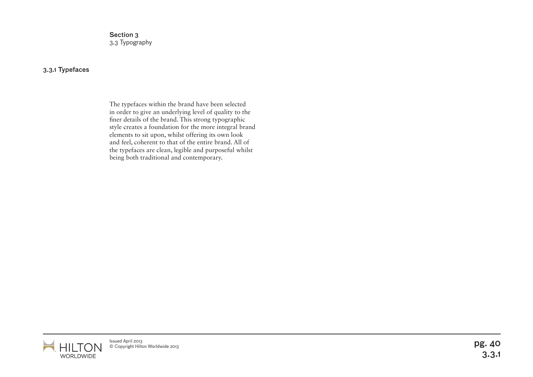Section 3 3.3 Typography

## 3.3.1 Typefaces

The typefaces within the brand have been selected in order to give an underlying level of quality to the finer details of the brand. This strong typographic style creates a foundation for the more integral brand elements to sit upon, whilst offering its own look and feel, coherent to that of the entire brand. All of the typefaces are clean, legible and purposeful whilst being both traditional and contemporary.

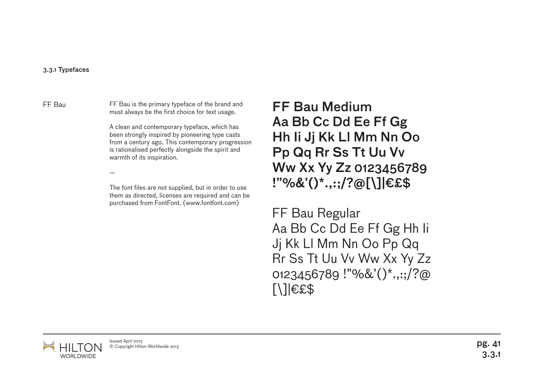## 3.3.1 Typefaces

FF Bau is the primary typeface of the brand and must always be the first choice for text usage. FF Bau FF Bau is the primary typeface of the brand and  $\mathsf{FF}\,\mathsf{B}$ au Medium

—

A clean and contemporary typeface, which has been strongly inspired by pioneering type casts from a century ago. This contemporary progression is rationalised perfectly alongside the spirit and warmth of its inspiration.

The font files are not supplied, but in order to use them as directed, licenses are required and can be purchased from FontFont. (www.fontfont.com)

Aa Bb Cc Dd Ee Ff Gg Hh Ii Jj Kk Ll Mm Nn Oo Pp Qq Rr Ss Tt Uu Vv Ww Xx Yy Zz 0123456789 !"%&'()\*.,:;/?@[\]|€£\$

FF Bau Regular Aa Bb Cc Dd Ee Ff Gg Hh Ii Jj Kk Ll Mm Nn Oo Pp Qq Rr Ss Tt Uu Vv Ww Xx Yy Zz 0123456789 !"%&'()\*.,:;/?@  $[ \ ]$  $E$ £\$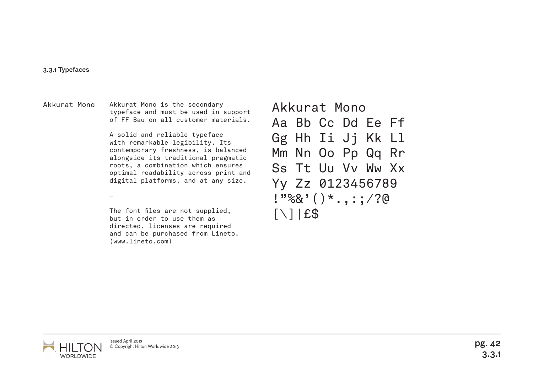## 3.3.1 Typefaces

Akkurat Mono is the secondary typeface and must be used in support of FF Bau on all customer materials. Akkurat Mono Akkurat Mono is the secondary **Akkurat Mono** 

> A solid and reliable typeface with remarkable legibility. Its contemporary freshness, is balanced alongside its traditional pragmatic roots, a combination which ensures optimal readability across print and digital platforms, and at any size.

—

The font files are not supplied, but in order to use them as directed, licenses are required and can be purchased from Lineto. (www.lineto.com)

Aa Bb Cc Dd Ee Ff Gg Hh Ii Jj Kk Ll Mm Nn Oo Pp Qq Rr Ss Tt Uu Vv Ww Xx Yy Zz 0123456789  $1"$ %&'()\*.,:;/?@  $[\ ]$ | $E$ \$